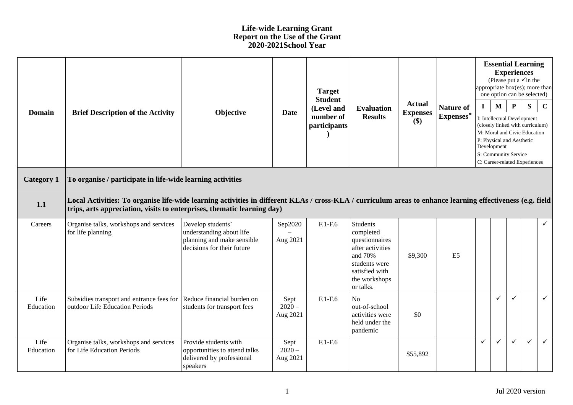## **Life-wide Learning Grant Report on the Use of the Grant 2020-2021School Year**

| <b>Domain</b>     | <b>Brief Description of the Activity</b>                                                                                                                                                                                              | Objective                                                                                                 | <b>Date</b>                  | <b>Target</b><br><b>Student</b><br>(Level and<br>number of<br>participants | <b>Evaluation</b><br><b>Results</b>                                                                                                            | <b>Actual</b><br><b>Expenses</b><br>\$) | <b>Nature of</b><br>Expenses* | $\mathbf{I}$ | $\mathbf{M}$<br>Development | <b>Experiences</b><br>$\mathbf{P}$<br>P: Physical and Aesthetic<br>S: Community Service | <b>Essential Learning</b><br>(Please put a $\checkmark$ in the<br>appropriate $box(es)$ ; more than<br>one option can be selected)<br>S<br>I: Intellectual Development<br>(closely linked with curriculum)<br>M: Moral and Civic Education | $\mathbf C$  |
|-------------------|---------------------------------------------------------------------------------------------------------------------------------------------------------------------------------------------------------------------------------------|-----------------------------------------------------------------------------------------------------------|------------------------------|----------------------------------------------------------------------------|------------------------------------------------------------------------------------------------------------------------------------------------|-----------------------------------------|-------------------------------|--------------|-----------------------------|-----------------------------------------------------------------------------------------|--------------------------------------------------------------------------------------------------------------------------------------------------------------------------------------------------------------------------------------------|--------------|
| <b>Category 1</b> | C: Career-related Experiences<br>To organise / participate in life-wide learning activities                                                                                                                                           |                                                                                                           |                              |                                                                            |                                                                                                                                                |                                         |                               |              |                             |                                                                                         |                                                                                                                                                                                                                                            |              |
| 1.1               | Local Activities: To organise life-wide learning activities in different KLAs / cross-KLA / curriculum areas to enhance learning effectiveness (e.g. field<br>trips, arts appreciation, visits to enterprises, thematic learning day) |                                                                                                           |                              |                                                                            |                                                                                                                                                |                                         |                               |              |                             |                                                                                         |                                                                                                                                                                                                                                            |              |
| Careers           | Organise talks, workshops and services<br>for life planning                                                                                                                                                                           | Develop students'<br>understanding about life<br>planning and make sensible<br>decisions for their future | Sep2020<br>Aug 2021          | $F.1-F.6$                                                                  | <b>Students</b><br>completed<br>questionnaires<br>after activities<br>and 70%<br>students were<br>satisfied with<br>the workshops<br>or talks. | \$9,300                                 | E <sub>5</sub>                |              |                             |                                                                                         |                                                                                                                                                                                                                                            | $\checkmark$ |
| Life<br>Education | Subsidies transport and entrance fees for<br>outdoor Life Education Periods                                                                                                                                                           | Reduce financial burden on<br>students for transport fees                                                 | Sept<br>$2020 -$<br>Aug 2021 | $F.1-F.6$                                                                  | N <sub>o</sub><br>out-of-school<br>activities were<br>held under the<br>pandemic                                                               | \$0                                     |                               |              | ✓                           | $\checkmark$                                                                            |                                                                                                                                                                                                                                            | $\checkmark$ |
| Life<br>Education | Organise talks, workshops and services<br>for Life Education Periods                                                                                                                                                                  | Provide students with<br>opportunities to attend talks<br>delivered by professional<br>speakers           | Sept<br>$2020 -$<br>Aug 2021 | $F.1-F.6$                                                                  |                                                                                                                                                | \$55,892                                |                               | $\checkmark$ | ✓                           | $\checkmark$                                                                            | $\checkmark$                                                                                                                                                                                                                               | $\checkmark$ |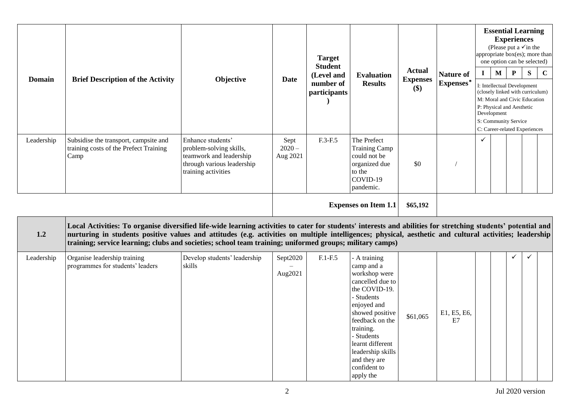| <b>Domain</b> | <b>Brief Description of the Activity</b>                                                                                                                                                                                                                                                                                                                                                                                             | Objective                                                                                                                    | <b>Date</b>                  | <b>Target</b><br><b>Student</b><br>(Level and<br>number of<br>participants | <b>Evaluation</b><br><b>Results</b>                                                                                                                 | <b>Actual</b><br><b>Expenses</b><br>\$) | <b>Nature of</b>   | <b>Essential Learning</b><br><b>Experiences</b><br>(Please put a $\checkmark$ in the<br>appropriate box(es); more than<br>one option can be selected)<br>$\mathbf{M}$<br>${\bf P}$<br>S<br>$\bf{I}$ |                                                                                                                                                                                                      |              |  |             |  |  |
|---------------|--------------------------------------------------------------------------------------------------------------------------------------------------------------------------------------------------------------------------------------------------------------------------------------------------------------------------------------------------------------------------------------------------------------------------------------|------------------------------------------------------------------------------------------------------------------------------|------------------------------|----------------------------------------------------------------------------|-----------------------------------------------------------------------------------------------------------------------------------------------------|-----------------------------------------|--------------------|-----------------------------------------------------------------------------------------------------------------------------------------------------------------------------------------------------|------------------------------------------------------------------------------------------------------------------------------------------------------------------------------------------------------|--------------|--|-------------|--|--|
|               |                                                                                                                                                                                                                                                                                                                                                                                                                                      |                                                                                                                              |                              |                                                                            |                                                                                                                                                     |                                         | $\mbox{Express}^*$ |                                                                                                                                                                                                     | I: Intellectual Development<br>(closely linked with curriculum)<br>M: Moral and Civic Education<br>P: Physical and Aesthetic<br>Development<br>S: Community Service<br>C: Career-related Experiences |              |  | $\mathbf C$ |  |  |
| Leadership    | Subsidise the transport, campsite and<br>training costs of the Prefect Training<br>Camp                                                                                                                                                                                                                                                                                                                                              | Enhance students'<br>problem-solving skills,<br>teamwork and leadership<br>through various leadership<br>training activities | Sept<br>$2020 -$<br>Aug 2021 | F.3-F.5                                                                    | The Prefect<br><b>Training Camp</b><br>could not be<br>organized due<br>to the<br>COVID-19<br>pandemic.                                             | \$0                                     |                    | $\checkmark$                                                                                                                                                                                        |                                                                                                                                                                                                      |              |  |             |  |  |
|               |                                                                                                                                                                                                                                                                                                                                                                                                                                      |                                                                                                                              |                              |                                                                            | <b>Expenses on Item 1.1</b>                                                                                                                         | \$65,192                                |                    |                                                                                                                                                                                                     |                                                                                                                                                                                                      |              |  |             |  |  |
| 1.2           | Local Activities: To organise diversified life-wide learning activities to cater for students' interests and abilities for stretching students' potential and<br>nurturing in students positive values and attitudes (e.g. activities on multiple intelligences; physical, aesthetic and cultural activities; leadership<br>training; service learning; clubs and societies; school team training; uniformed groups; military camps) |                                                                                                                              |                              |                                                                            |                                                                                                                                                     |                                         |                    |                                                                                                                                                                                                     |                                                                                                                                                                                                      |              |  |             |  |  |
| Leadership    | Organise leadership training<br>programmes for students' leaders                                                                                                                                                                                                                                                                                                                                                                     | Develop students' leadership<br>skills                                                                                       | Sept2020<br>Aug2021          | $F.1-F.5$                                                                  | - A training<br>camp and a<br>workshop were<br>cancelled due to<br>the COVID-19.<br>- Students<br>enjoyed and<br>showed positive<br>feedback on the | \$61,065                                | E1, E5, E6,<br>E7  |                                                                                                                                                                                                     |                                                                                                                                                                                                      | $\checkmark$ |  |             |  |  |

training. - Students learnt different leadership skills and they are confident to apply the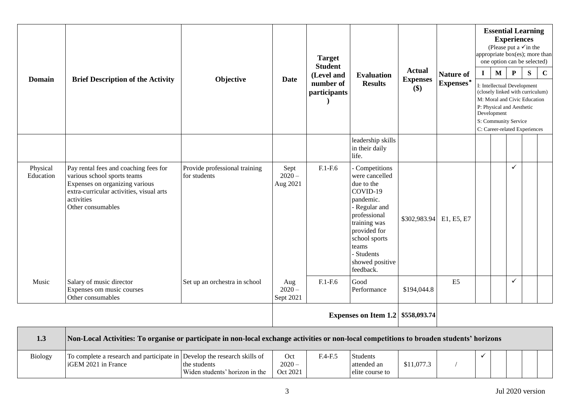| <b>Domain</b>         | <b>Brief Description of the Activity</b>                                                                                                                                              | Objective                                     | <b>Date</b>                  | <b>Target</b><br><b>Student</b><br>(Level and<br>number of<br>participants | <b>Evaluation</b><br><b>Results</b>                                                                                                                                                                              | <b>Actual</b><br><b>Expenses</b><br>\$) | <b>Nature of</b><br>Expenses* | $\mathbf{I}$ | <b>Essential Learning</b><br><b>Experiences</b><br>(Please put a $\checkmark$ in the<br>appropriate box(es); more than<br>one option can be selected)<br>$\mathbf{P}$<br>S<br>$\mathbf{M}$<br>I: Intellectual Development<br>(closely linked with curriculum)<br>M: Moral and Civic Education<br>P: Physical and Aesthetic<br>Development<br>S: Community Service<br>C: Career-related Experiences |              |  |  |
|-----------------------|---------------------------------------------------------------------------------------------------------------------------------------------------------------------------------------|-----------------------------------------------|------------------------------|----------------------------------------------------------------------------|------------------------------------------------------------------------------------------------------------------------------------------------------------------------------------------------------------------|-----------------------------------------|-------------------------------|--------------|----------------------------------------------------------------------------------------------------------------------------------------------------------------------------------------------------------------------------------------------------------------------------------------------------------------------------------------------------------------------------------------------------|--------------|--|--|
|                       |                                                                                                                                                                                       |                                               |                              |                                                                            | leadership skills<br>in their daily<br>life.                                                                                                                                                                     |                                         |                               |              |                                                                                                                                                                                                                                                                                                                                                                                                    |              |  |  |
| Physical<br>Education | Pay rental fees and coaching fees for<br>various school sports teams<br>Expenses on organizing various<br>extra-curricular activities, visual arts<br>activities<br>Other consumables | Provide professional training<br>for students | Sept<br>$2020 -$<br>Aug 2021 | $F.1-F.6$                                                                  | - Competitions<br>were cancelled<br>due to the<br>COVID-19<br>pandemic.<br>- Regular and<br>professional<br>training was<br>provided for<br>school sports<br>teams<br>- Students<br>showed positive<br>feedback. | \$302,983.94                            | E1, E5, E7                    |              |                                                                                                                                                                                                                                                                                                                                                                                                    | $\checkmark$ |  |  |
| Music                 | Salary of music director<br>Expenses om music courses<br>Other consumables                                                                                                            | Set up an orchestra in school                 | Aug<br>$2020 -$<br>Sept 2021 | $F.1-F.6$                                                                  | Good<br>Performance                                                                                                                                                                                              | \$194,044.8                             | E <sub>5</sub>                |              |                                                                                                                                                                                                                                                                                                                                                                                                    | $\checkmark$ |  |  |
|                       | <b>Expenses on Item 1.2 \$558,093.74</b>                                                                                                                                              |                                               |                              |                                                                            |                                                                                                                                                                                                                  |                                         |                               |              |                                                                                                                                                                                                                                                                                                                                                                                                    |              |  |  |

| 1.3            | Non-Local Activities: To organise or participate in non-local exchange activities or non-local competitions to broaden students' horizons |                                                |                             |           |                                                   |            |  |  |  |  |  |  |
|----------------|-------------------------------------------------------------------------------------------------------------------------------------------|------------------------------------------------|-----------------------------|-----------|---------------------------------------------------|------------|--|--|--|--|--|--|
| <b>Biology</b> | To complete a research and participate in Develop the research skills of<br>iGEM 2021 in France                                           | the students<br>Widen students' horizon in the | Oct<br>$2020 -$<br>Oct 2021 | $F.4-F.5$ | <b>Students</b><br>attended an<br>elite course to | \$11,077.3 |  |  |  |  |  |  |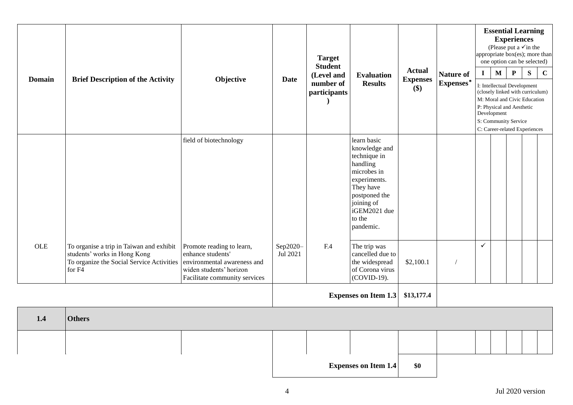| <b>Domain</b> | <b>Brief Description of the Activity</b>                                                                                        | Objective                                                                                                                                 | <b>Date</b>          | <b>Target</b><br><b>Student</b><br>(Level and<br>number of<br>participants | <b>Evaluation</b><br><b>Results</b>                                                                                                                                        | <b>Actual</b><br><b>Expenses</b><br>\$) | <b>Nature of</b><br>${\bf Expenses}^*$ | <b>Essential Learning</b><br><b>Experiences</b><br>(Please put a $\checkmark$ in the<br>appropriate box(es); more than<br>one option can be selected)<br>$\mathbf P$<br>${\bf S}$<br>${\bf M}$<br>$\mathbf C$<br>I<br>I: Intellectual Development<br>(closely linked with curriculum)<br>M: Moral and Civic Education<br>P: Physical and Aesthetic<br>Development<br>S: Community Service<br>C: Career-related Experiences |  |  |  |  |
|---------------|---------------------------------------------------------------------------------------------------------------------------------|-------------------------------------------------------------------------------------------------------------------------------------------|----------------------|----------------------------------------------------------------------------|----------------------------------------------------------------------------------------------------------------------------------------------------------------------------|-----------------------------------------|----------------------------------------|----------------------------------------------------------------------------------------------------------------------------------------------------------------------------------------------------------------------------------------------------------------------------------------------------------------------------------------------------------------------------------------------------------------------------|--|--|--|--|
|               |                                                                                                                                 | field of biotechnology                                                                                                                    |                      |                                                                            | learn basic<br>knowledge and<br>technique in<br>handling<br>microbes in<br>experiments.<br>They have<br>postponed the<br>joining of<br>iGEM2021 due<br>to the<br>pandemic. |                                         |                                        |                                                                                                                                                                                                                                                                                                                                                                                                                            |  |  |  |  |
| $_{\rm OLE}$  | To organise a trip in Taiwan and exhibit<br>students' works in Hong Kong<br>To organize the Social Service Activities<br>for F4 | Promote reading to learn,<br>enhance students'<br>environmental awareness and<br>widen students' horizon<br>Facilitate community services | Sep2020-<br>Jul 2021 | F.4                                                                        | The trip was<br>cancelled due to<br>the widespread<br>of Corona virus<br>(COVID-19).                                                                                       | \$2,100.1                               |                                        | $\checkmark$                                                                                                                                                                                                                                                                                                                                                                                                               |  |  |  |  |
|               | <b>Expenses on Item 1.3</b>                                                                                                     |                                                                                                                                           |                      |                                                                            |                                                                                                                                                                            | \$13,177.4                              |                                        |                                                                                                                                                                                                                                                                                                                                                                                                                            |  |  |  |  |
| 1.4           | <b>Others</b>                                                                                                                   |                                                                                                                                           |                      |                                                                            |                                                                                                                                                                            |                                         |                                        |                                                                                                                                                                                                                                                                                                                                                                                                                            |  |  |  |  |
|               |                                                                                                                                 |                                                                                                                                           |                      |                                                                            |                                                                                                                                                                            |                                         |                                        |                                                                                                                                                                                                                                                                                                                                                                                                                            |  |  |  |  |
|               |                                                                                                                                 |                                                                                                                                           |                      |                                                                            | <b>Expenses on Item 1.4</b>                                                                                                                                                | \$0                                     |                                        |                                                                                                                                                                                                                                                                                                                                                                                                                            |  |  |  |  |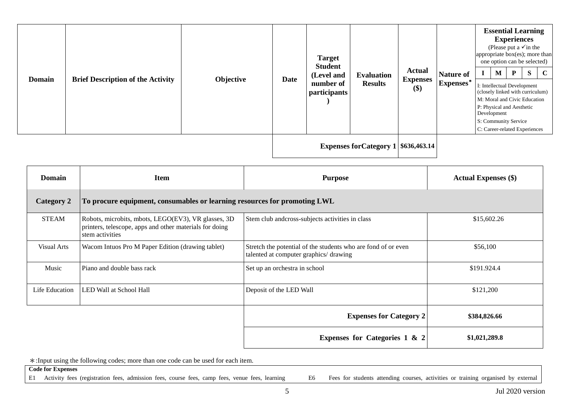| <b>Domain</b> | <b>Brief Description of the Activity</b> | Objective | <b>Date</b> | <b>Target</b><br><b>Student</b><br>(Level and<br>number of<br>participants | <b>Evaluation</b><br><b>Results</b> | <b>Actual</b><br><b>Expenses</b><br>$($)$ | Nature of<br>Expenses* | <b>Essential Learning</b><br><b>Experiences</b><br>(Please put a $\checkmark$ in the<br>appropriate box(es); more than<br>one option can be selected)<br>M<br>I: Intellectual Development<br>(closely linked with curriculum)<br>M: Moral and Civic Education<br>P: Physical and Aesthetic<br>Development<br>S: Community Service<br>C: Career-related Experiences | $\mathbf{P}$ | S | $\mathbf C$ |
|---------------|------------------------------------------|-----------|-------------|----------------------------------------------------------------------------|-------------------------------------|-------------------------------------------|------------------------|--------------------------------------------------------------------------------------------------------------------------------------------------------------------------------------------------------------------------------------------------------------------------------------------------------------------------------------------------------------------|--------------|---|-------------|
|               |                                          |           |             | Expenses for Category $1 $636,463.14$                                      |                                     |                                           |                        |                                                                                                                                                                                                                                                                                                                                                                    |              |   |             |

| <b>Domain</b>      | <b>Item</b>                                                                                                                       | <b>Purpose</b>                                                                                          | <b>Actual Expenses</b> (\$) |
|--------------------|-----------------------------------------------------------------------------------------------------------------------------------|---------------------------------------------------------------------------------------------------------|-----------------------------|
| <b>Category 2</b>  | To procure equipment, consumables or learning resources for promoting LWL                                                         |                                                                                                         |                             |
| <b>STEAM</b>       | Robots, microbits, mbots, LEGO(EV3), VR glasses, 3D<br>printers, telescope, apps and other materials for doing<br>stem activities | Stem club and cross-subjects activities in class                                                        | \$15,602.26                 |
| <b>Visual Arts</b> | Wacom Intuos Pro M Paper Edition (drawing tablet)                                                                                 | Stretch the potential of the students who are fond of or even<br>talented at computer graphics/ drawing | \$56,100                    |
| Music              | Piano and double bass rack                                                                                                        | Set up an orchestra in school                                                                           | \$191.924.4                 |
| Life Education     | LED Wall at School Hall                                                                                                           | Deposit of the LED Wall                                                                                 | \$121,200                   |
|                    |                                                                                                                                   | <b>Expenses for Category 2</b>                                                                          | \$384,826.66                |
|                    |                                                                                                                                   | <b>Expenses for Categories 1 &amp; 2</b>                                                                | \$1,021,289.8               |

\*:Input using the following codes; more than one code can be used for each item.

**Code for Expenses**

E1 Activity fees (registration fees, admission fees, course fees, camp fees, venue fees, learning E6 Fees for students attending courses, activities or training organised by external